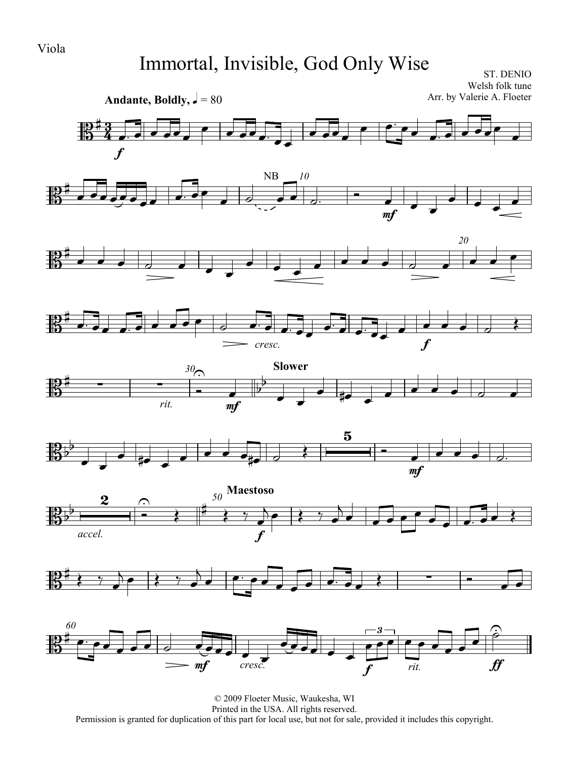# Immortal, Invisible, God Only Wise

ST. DENIO Welsh folk tune Arr. by Valerie A. Floeter



© 2009 Floeter Music, Waukesha, WI Printed in the USA. All rights reserved. Permission is granted for duplication of this part for local use, but not for sale, provided it includes this copyright.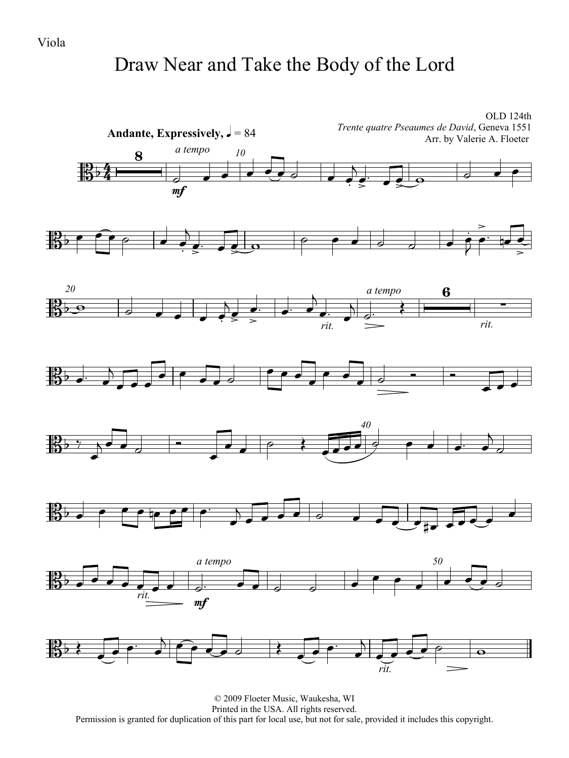### Draw Near and Take the Body of the Lord

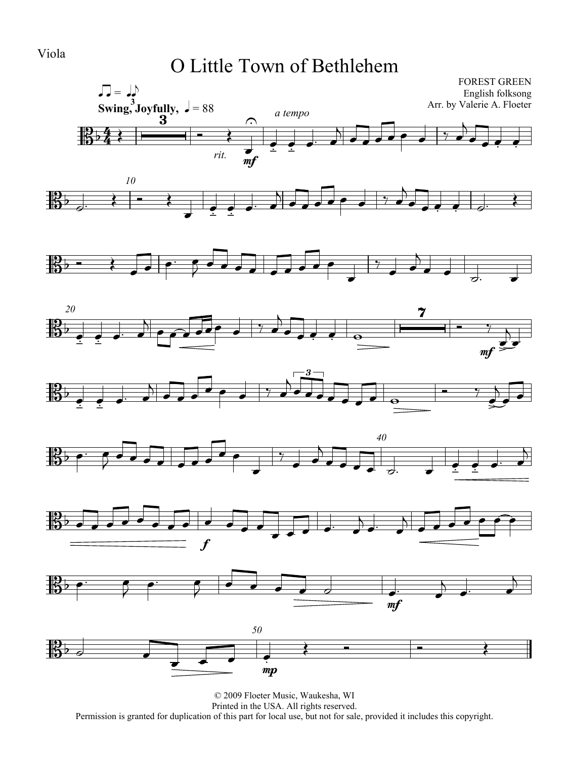#### O Little Town of Bethlehem

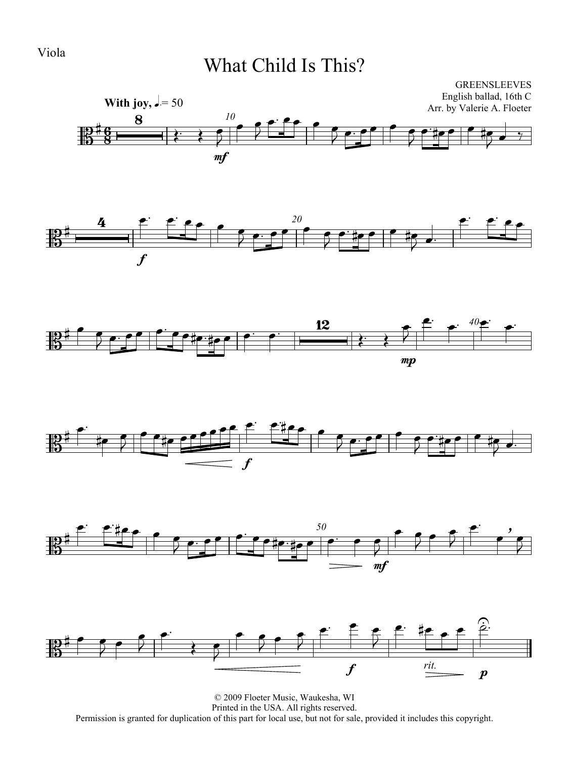### What Child Is This?













© 2009 Floeter Music, Waukesha, WI Printed in the USA. All rights reserved. Permission is granted for duplication of this part for local use, but not for sale, provided it includes this copyright.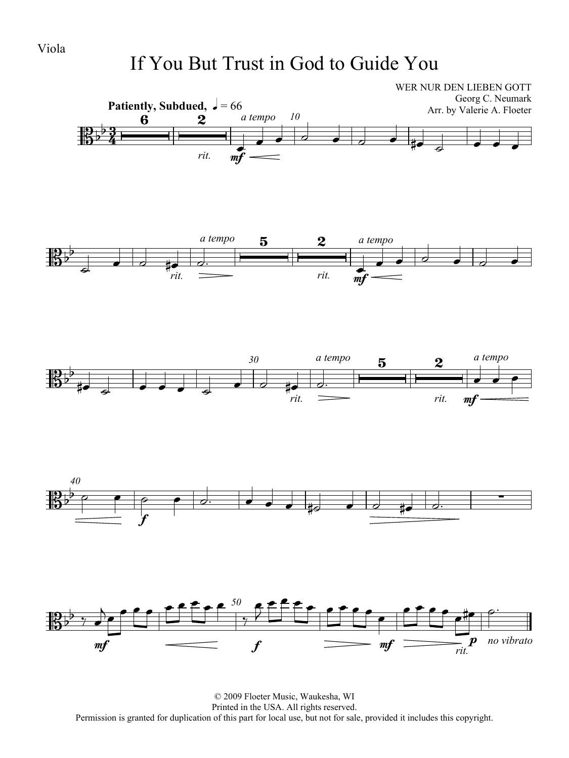# If You But Trust in God to Guide You



© 2009 Floeter Music, Waukesha, WI Printed in the USA. All rights reserved. Permission is granted for duplication of this part for local use, but not for sale, provided it includes this copyright.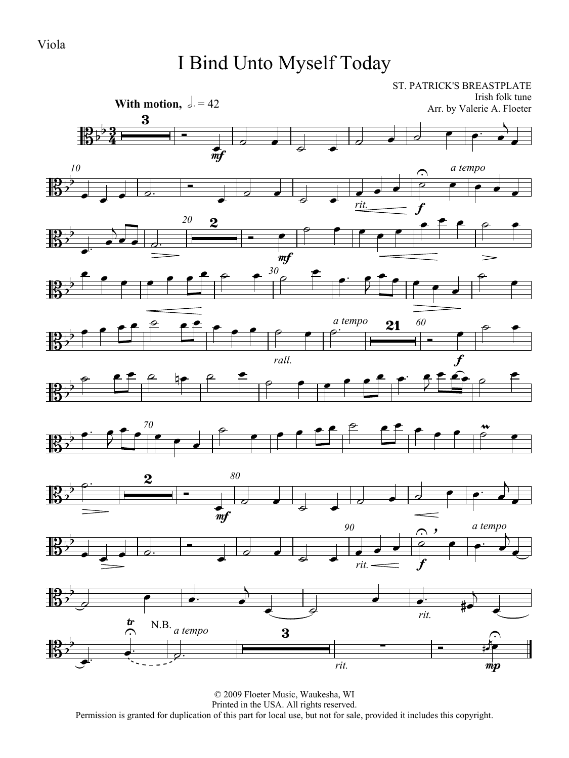# I Bind Unto Myself Today

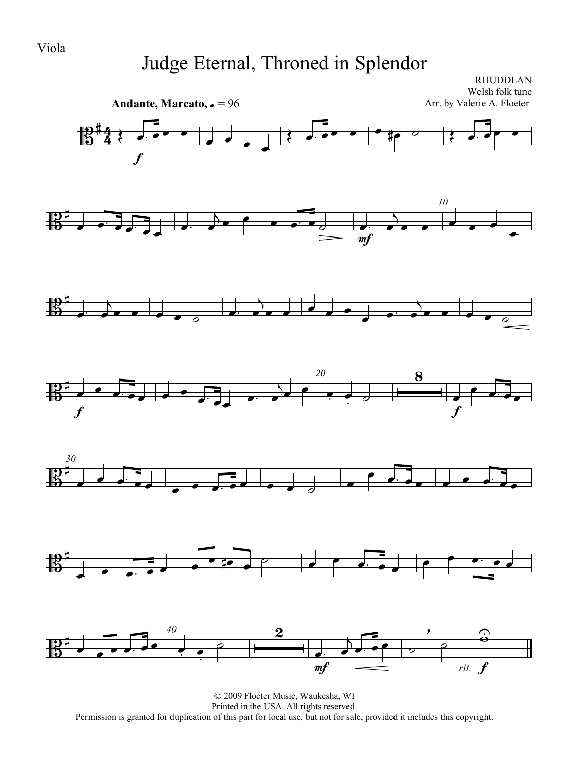# Judge Eternal, Throned in Splendor

RHUDDLAN

Welsh folk tune **Andante, Marcato,**  $\sqrt{ } = 96$ Arr. by Valerie A. Floeter  $\overline{4}$   $\overline{\phantom{a}}$  $\mathbb{B}^{\sharp}$  $\frac{4}{4}$  $\overrightarrow{a}$ f *10*  $\begin{array}{|c|c|c|c|c|}\n\hline\n\bullet & \bullet & \bullet & \bullet & \bullet\end{array}$  $\overline{b}$ 【】  $\overrightarrow{a}$  $\overrightarrow{a}$  ,  $\overrightarrow{a}$  ,  $\overrightarrow{a}$  $\overline{\phantom{a}}$  $\overline{\phantom{a}}$  $\overline{\phantom{a}}$ mf  $\overline{A}$  $\overline{B}$  $\overline{b}$  $\frac{10}{10}$  $\overrightarrow{a}$  $\overrightarrow{ }$  $\overrightarrow{a}$  $\overline{\phantom{a}}$  $\overrightarrow{e}$  $\overrightarrow{a}$  $\overline{\mathbf{8}}$ *20*  $\overline{b}$  $\frac{1}{\sqrt{1-\frac{1}{\sqrt{1-\frac{1}{\sqrt{1-\frac{1}{\sqrt{1-\frac{1}{\sqrt{1-\frac{1}{\sqrt{1-\frac{1}{\sqrt{1-\frac{1}{\sqrt{1-\frac{1}{\sqrt{1-\frac{1}{\sqrt{1-\frac{1}{\sqrt{1-\frac{1}{\sqrt{1-\frac{1}{\sqrt{1-\frac{1}{\sqrt{1-\frac{1}{\sqrt{1-\frac{1}{\sqrt{1-\frac{1}{\sqrt{1-\frac{1}{\sqrt{1-\frac{1}{\sqrt{1-\frac{1}{\sqrt{1-\frac{1}{\sqrt{1-\frac{1}{\sqrt{1-\frac{1}{\sqrt{1-\frac{1}{\sqrt{1-\frac{1$  $\bullet$   $\bullet$   $\bullet$   $\circ$   $\frac{10}{10}$  $\overline{\phantom{a}}$  $\overline{\phantom{a}}$  $\frac{1}{\sqrt{2}}$ ╪╧ f f *30*  $\overrightarrow{a}$  $\frac{1}{10}$   $\overline{\phantom{a}}$  $\overrightarrow{e}$   $\overrightarrow{e}$   $\overrightarrow{e}$  $\frac{1}{\sqrt{1-\frac{1}{\sqrt{1-\frac{1}{\sqrt{1-\frac{1}{\sqrt{1-\frac{1}{\sqrt{1-\frac{1}{\sqrt{1-\frac{1}{\sqrt{1-\frac{1}{\sqrt{1-\frac{1}{\sqrt{1-\frac{1}{\sqrt{1-\frac{1}{\sqrt{1-\frac{1}{\sqrt{1-\frac{1}{\sqrt{1-\frac{1}{\sqrt{1-\frac{1}{\sqrt{1-\frac{1}{\sqrt{1-\frac{1}{\sqrt{1-\frac{1}{\sqrt{1-\frac{1}{\sqrt{1-\frac{1}{\sqrt{1-\frac{1}{\sqrt{1-\frac{1}{\sqrt{1-\frac{1}{\sqrt{1-\frac{1}{\sqrt{1-\frac{1$  $\sim$   $\sim$   $\sim$   $\sim$  $\frac{1}{2}$  $\overline{a}$   $\overline{a}$   $\overline{a}$   $\overline{a}$   $\overline{a}$   $\overline{a}$   $\overline{a}$   $\overline{a}$   $\overline{a}$   $\overline{a}$   $\overline{a}$   $\overline{a}$   $\overline{a}$   $\overline{a}$   $\overline{a}$   $\overline{a}$   $\overline{a}$   $\overline{a}$   $\overline{a}$   $\overline{a}$   $\overline{a}$   $\overline{a}$   $\overline{a}$   $\overline{a}$   $\overline{$ *,*  $\overline{2}$  $\mathbf{\hat{e}}$ *40*  $\hat{\mathbf{e}}$  $\mathbb{R}^\sharp$  $\overline{A}$  $\overline{\phantom{a}}$   $\overline{\bullet}\cdot\overline{\bullet}\bullet$  $\overline{\mathcal{C}}$  $\frac{1}{4}$  $\overline{\phantom{a}}$ . mf  $rit.$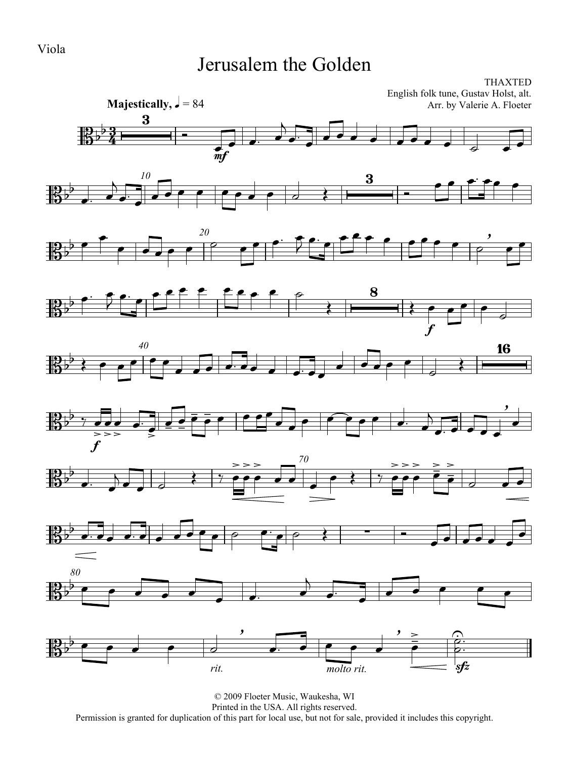#### Jerusalem the Golden



© 2009 Floeter Music, Waukesha, WI Printed in the USA. All rights reserved. Permission is granted for duplication of this part for local use, but not for sale, provided it includes this copyright.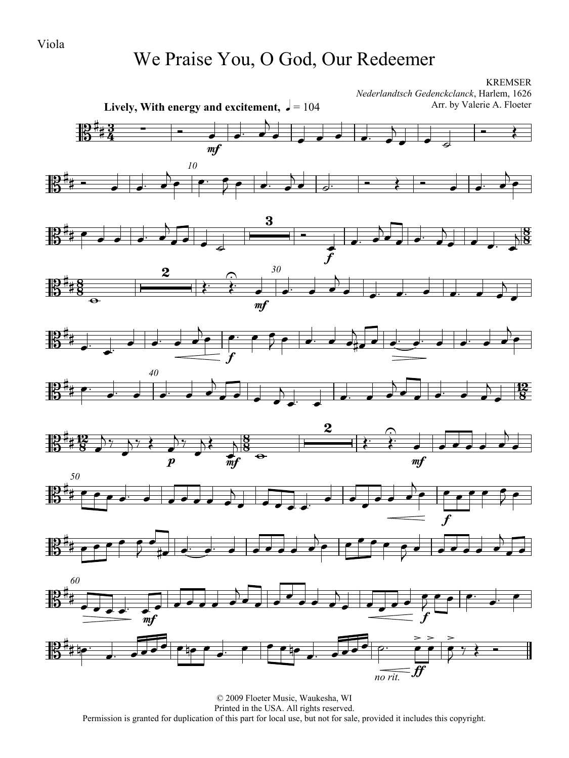#### We Praise You, O God, Our Redeemer